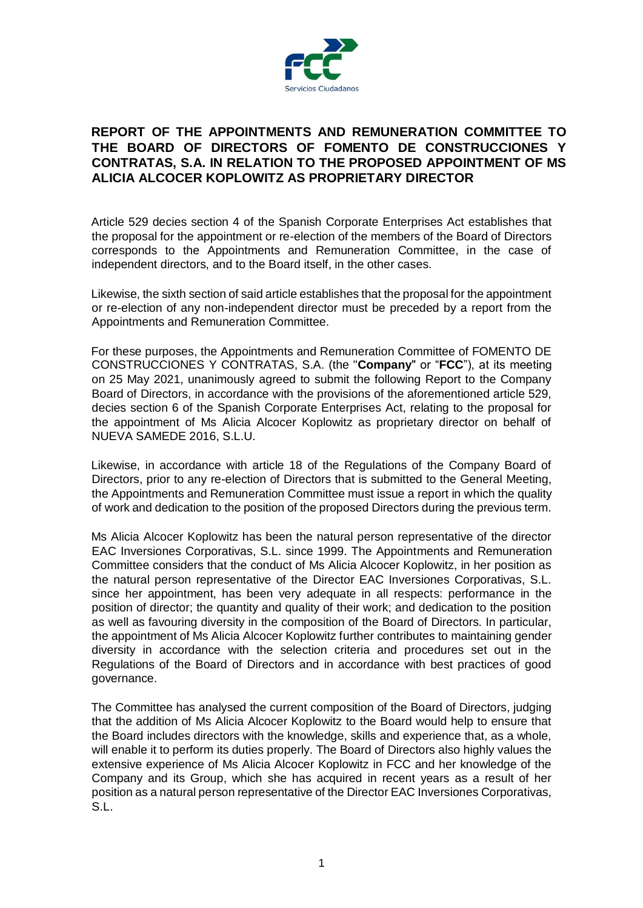

## **REPORT OF THE APPOINTMENTS AND REMUNERATION COMMITTEE TO THE BOARD OF DIRECTORS OF FOMENTO DE CONSTRUCCIONES Y CONTRATAS, S.A. IN RELATION TO THE PROPOSED APPOINTMENT OF MS ALICIA ALCOCER KOPLOWITZ AS PROPRIETARY DIRECTOR**

Article 529 decies section 4 of the Spanish Corporate Enterprises Act establishes that the proposal for the appointment or re-election of the members of the Board of Directors corresponds to the Appointments and Remuneration Committee, in the case of independent directors, and to the Board itself, in the other cases.

Likewise, the sixth section of said article establishes that the proposal for the appointment or re-election of any non-independent director must be preceded by a report from the Appointments and Remuneration Committee.

For these purposes, the Appointments and Remuneration Committee of FOMENTO DE CONSTRUCCIONES Y CONTRATAS, S.A. (the "**Company**" or "**FCC**"), at its meeting on 25 May 2021, unanimously agreed to submit the following Report to the Company Board of Directors, in accordance with the provisions of the aforementioned article 529, decies section 6 of the Spanish Corporate Enterprises Act, relating to the proposal for the appointment of Ms Alicia Alcocer Koplowitz as proprietary director on behalf of NUEVA SAMEDE 2016, S.L.U.

Likewise, in accordance with article 18 of the Regulations of the Company Board of Directors, prior to any re-election of Directors that is submitted to the General Meeting, the Appointments and Remuneration Committee must issue a report in which the quality of work and dedication to the position of the proposed Directors during the previous term.

Ms Alicia Alcocer Koplowitz has been the natural person representative of the director EAC Inversiones Corporativas, S.L. since 1999. The Appointments and Remuneration Committee considers that the conduct of Ms Alicia Alcocer Koplowitz, in her position as the natural person representative of the Director EAC Inversiones Corporativas, S.L. since her appointment, has been very adequate in all respects: performance in the position of director; the quantity and quality of their work; and dedication to the position as well as favouring diversity in the composition of the Board of Directors. In particular, the appointment of Ms Alicia Alcocer Koplowitz further contributes to maintaining gender diversity in accordance with the selection criteria and procedures set out in the Regulations of the Board of Directors and in accordance with best practices of good governance.

The Committee has analysed the current composition of the Board of Directors, judging that the addition of Ms Alicia Alcocer Koplowitz to the Board would help to ensure that the Board includes directors with the knowledge, skills and experience that, as a whole, will enable it to perform its duties properly. The Board of Directors also highly values the extensive experience of Ms Alicia Alcocer Koplowitz in FCC and her knowledge of the Company and its Group, which she has acquired in recent years as a result of her position as a natural person representative of the Director EAC Inversiones Corporativas, S.L.